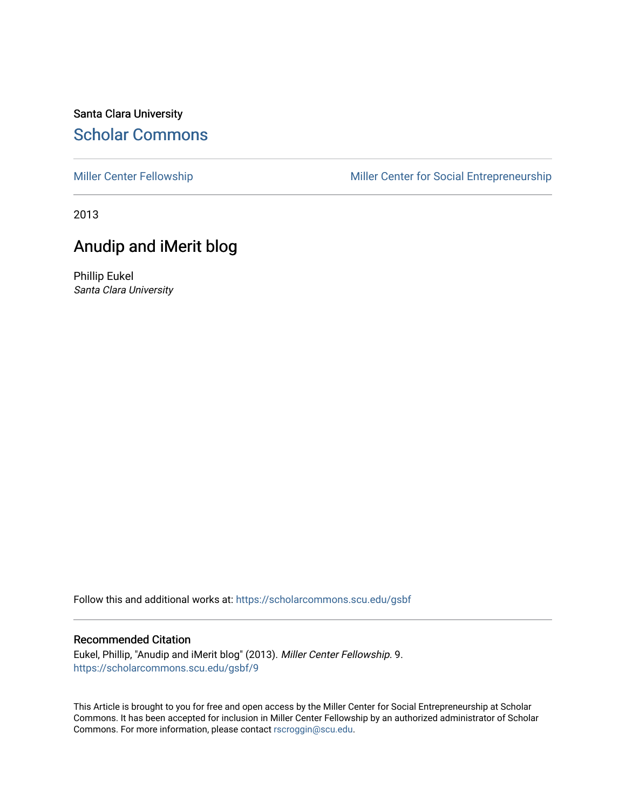## Santa Clara University [Scholar Commons](https://scholarcommons.scu.edu/)

[Miller Center Fellowship](https://scholarcommons.scu.edu/gsbf) Miller Center for Social Entrepreneurship

2013

# Anudip and iMerit blog

Phillip Eukel Santa Clara University

Follow this and additional works at: [https://scholarcommons.scu.edu/gsbf](https://scholarcommons.scu.edu/gsbf?utm_source=scholarcommons.scu.edu%2Fgsbf%2F9&utm_medium=PDF&utm_campaign=PDFCoverPages)

### Recommended Citation

Eukel, Phillip, "Anudip and iMerit blog" (2013). Miller Center Fellowship. 9. [https://scholarcommons.scu.edu/gsbf/9](https://scholarcommons.scu.edu/gsbf/9?utm_source=scholarcommons.scu.edu%2Fgsbf%2F9&utm_medium=PDF&utm_campaign=PDFCoverPages)

This Article is brought to you for free and open access by the Miller Center for Social Entrepreneurship at Scholar Commons. It has been accepted for inclusion in Miller Center Fellowship by an authorized administrator of Scholar Commons. For more information, please contact [rscroggin@scu.edu](mailto:rscroggin@scu.edu).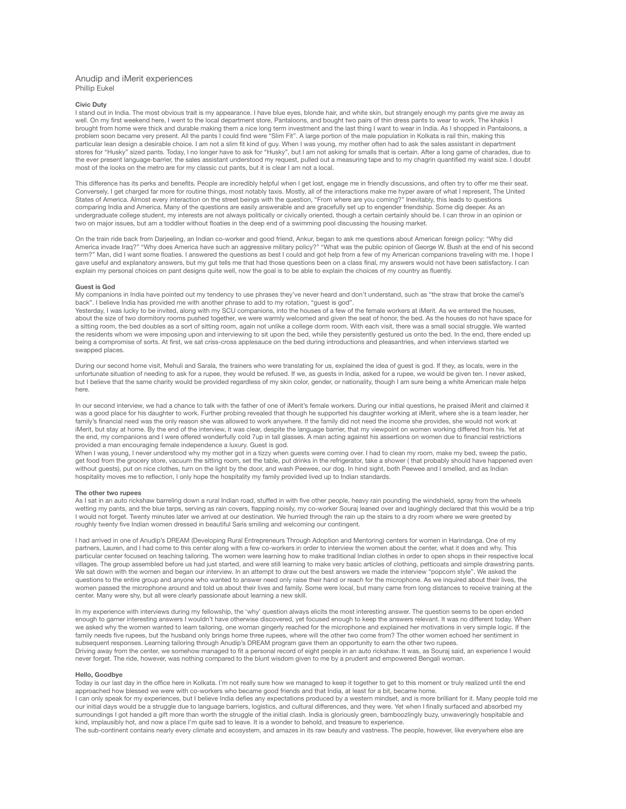#### Anudip and iMerit experiences Phillip Eukel

#### **Civic Duty**

I stand out in India. The most obvious trait is my appearance. I have blue eyes, blonde hair, and white skin, but strangely enough my pants give me away as well. On my first weekend here, I went to the local department store, Pantaloons, and bought two pairs of thin dress pants to wear to work. The khakis I brought from home were thick and durable making them a nice long term investment and the last thing I want to wear in India. As I shopped in Pantaloons, a problem soon became very present. All the pants I could find were "Slim Fit". A large portion of the male population in Kolkata is rail thin, making this<br>particular lean design a desirable choice. I am not a slim fit kind stores for "Husky" sized pants. Today, I no longer have to ask for "Husky", but I am not asking for smalls that is certain. After a long game of charades, due to the ever present language-barrier, the sales assistant understood my request, pulled out a measuring tape and to my chagrin quantified my waist size. I doubt most of the looks on the metro are for my classic cut pants, but it is clear I am not a local.

This difference has its perks and benefits. People are incredibly helpful when I get lost, engage me in friendly discussions, and often try to offer me their seat. Conversely, I get charged far more for routine things, most notably taxis. Mostly, all of the interactions make me hyper aware of what I represent, The United States of America. Almost every interaction on the street beings with the question, "From where are you coming?" Inevitably, this leads to questions comparing India and America. Many of the questions are easily answerable and are gracefully set up to engender friendship. Some dig deeper. As an undergraduate college student, my interests are not always politically or civically oriented, though a certain certainly should be. I can throw in an opinion or two on major issues, but am a toddler without floaties in the deep end of a swimming pool discussing the housing market.

On the train ride back from Darjeeling, an Indian co-worker and good friend, Ankur, began to ask me questions about American foreign policy: "Why did<br>America invade Iraq?" "Why does America have such an aggressive military term?" Man, did I want some floaties. I answered the questions as best I could and got help from a few of my American companions traveling with me. I hope I gave useful and explanatory answers, but my gut tells me that had those questions been on a class final, my answers would not have been satisfactory. I can explain my personal choices on pant designs quite well, now the goal is to be able to explain the choices of my country as fluently.

#### **Guest is God**

My companions in India have pointed out my tendency to use phrases they've never heard and don't understand, such as "the straw that broke the camel's back". I believe India has provided me with another phrase to add to my rotation, "guest is god".

Yesterday, I was lucky to be invited, along with my SCU companions, into the houses of a few of the female workers at iMerit. As we entered the houses, about the size of two dormitory rooms pushed together, we were warmly welcomed and given the seat of honor, the bed. As the houses do not have space for a sitting room, the bed doubles as a sort of sitting room, again not unlike a college dorm room. With each visit, there was a small social struggle. We wanted the residents whom we were imposing upon and interviewing to sit upon the bed, while they persistently gestured us onto the bed. In the end, there ended up being a compromise of sorts. At first, we sat criss-cross applesauce on the bed during introductions and pleasantries, and when interviews started we swapped places.

During our second home visit, Mehuli and Sarala, the trainers who were translating for us, explained the idea of guest is god. If they, as locals, were in the unfortunate situation of needing to ask for a rupee, they would be refused. If we, as guests in India, asked for a rupee, we would be given ten. I never asked, but I believe that the same charity would be provided regardless of my skin color, gender, or nationality, though I am sure being a white American male helps here.

In our second interview, we had a chance to talk with the father of one of iMerit's female workers. During our initial questions, he praised iMerit and claimed it was a good place for his daughter to work. Further probing revealed that though he supported his daughter working at iMerit, where she is a team leader, her family's financial need was the only reason she was allowed to work anywhere. If the family did not need the income she provides, she would not work at iMerit, but stay at home. By the end of the interview, it was clear, despite the language barrier, that my viewpoint on women working differed from his. Yet at the end, my companions and I were offered wonderfully cold 7up in tall glasses. A man acting against his assertions on women due to financial restrictions provided a man encouraging female independence a luxury. Guest is god.

When I was young, I never understood why my mother got in a tizzy when guests were coming over. I had to clean my room, make my bed, sweep the patio, get food from the grocery store, vacuum the sitting room, set the table, put drinks in the refrigerator, take a shower ( that probably should have happened even without guests), put on nice clothes, turn on the light by the door, and wash Peewee, our dog. In hind sight, both Peewee and I smelled, and as Indian hospitality moves me to reflection, I only hope the hospitality my family provided lived up to Indian standards.

#### **The other two rupees**

As I sat in an auto rickshaw barreling down a rural Indian road, stuffed in with five other people, heavy rain pounding the windshield, spray from the wheels wetting my pants, and the blue tarps, serving as rain covers, flapping noisily, my co-worker Souraj leaned over and laughingly declared that this would be a trip I would not forget. Twenty minutes later we arrived at our destination. We hurried through the rain up the stairs to a dry room where we were greeted by roughly twenty five Indian women dressed in beautiful Saris smiling and welcoming our contingent.

I had arrived in one of Anudip's DREAM (Developing Rural Entrepreneurs Through Adoption and Mentoring) centers for women in Harindanga. One of my partners, Lauren, and I had come to this center along with a few co-workers in order to interview the women about the center, what it does and why. This particular center focused on teaching tailoring. The women were learning how to make traditional Indian clothes in order to open shops in their respective local villages. The group assembled before us had just started, and were still learning to make very basic articles of clothing, petticoats and simple drawstring pants. We sat down with the women and began our interview. In an attempt to draw out the best answers we made the interview "popcorn style". We asked the questions to the entire group and anyone who wanted to answer need only raise their hand or reach for the microphone. As we inquired about their lives, the women passed the microphone around and told us about their lives and family. Some were local, but many came from long distances to receive training at the center. Many were shy, but all were clearly passionate about learning a new skill.

In my experience with interviews during my fellowship, the 'why' question always elicits the most interesting answer. The question seems to be open ended enough to garner interesting answers I wouldn't have otherwise discovered, yet focused enough to keep the answers relevant. It was no different today. When we asked why the women wanted to learn tailoring, one woman gingerly reached for the microphone and explained her motivations in very simple logic. If the family needs five rupees, but the husband only brings home three rupees, where will the other two come from? The other women echoed her sentiment in subsequent responses. Learning tailoring through Anudip's DREAM program gave them an opportunity to earn the other two rupees. Driving away from the center, we somehow managed to fit a personal record of eight people in an auto rickshaw. It was, as Souraj said, an experience I would never forget. The ride, however, was nothing compared to the blunt wisdom given to me by a prudent and empowered Bengali woman.

#### **Hello, Goodbye**

Today is our last day in the office here in Kolkata. I'm not really sure how we managed to keep it together to get to this moment or truly realized until the end approached how blessed we were with co-workers who became good friends and that India, at least for a bit, became home.

I can only speak for my experiences, but I believe India defies any expectations produced by a western mindset, and is more brilliant for it. Many people told me our initial days would be a struggle due to language barriers, logistics, and cultural differences, and they were. Yet when I finally surfaced and absorbed my surroundings I got handed a gift more than worth the struggle of the initial clash. India is gloriously green, bamboozlingly buzy, unwaveringly hospitable and kind, implausibly hot, and now a place I'm quite sad to leave. It is a wonder to behold, and treasure to experience.

The sub-continent contains nearly every climate and ecosystem, and amazes in its raw beauty and vastness. The people, however, like everywhere else are